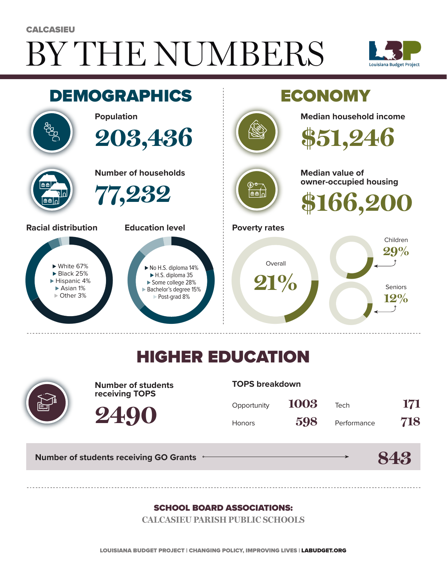# BY THE NUMBERS **CALCASIEU**





### HIGHER EDUCATION



**Number of students receiving TOPS**

**2490**

#### **TOPS breakdown**

| Opportunity   | 1003 | Tech        | 171 |
|---------------|------|-------------|-----|
| <b>Honors</b> | 598  | Performance | 718 |

**843**

**Number of students receiving GO Grants**

#### SCHOOL BOARD ASSOCIATIONS:

**CALCASIEU PARISH PUBLIC SCHOOLS**